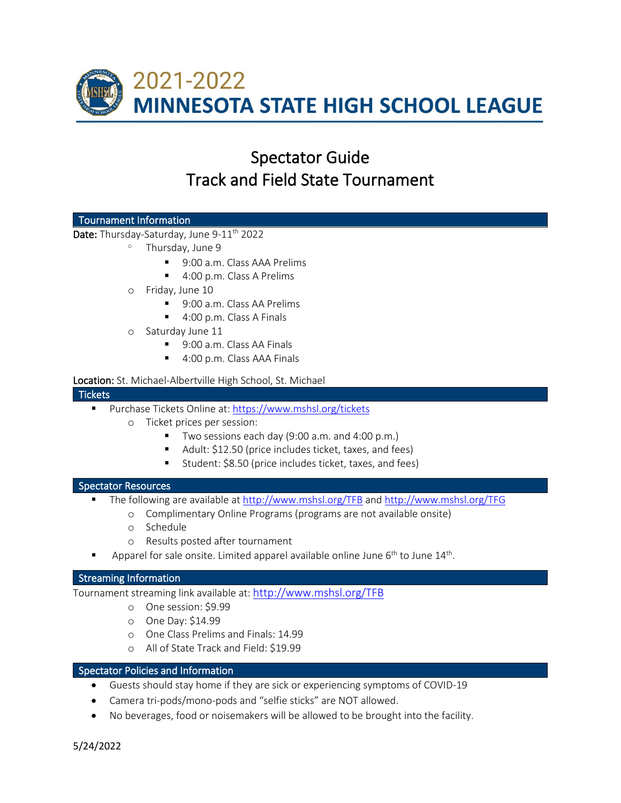

# Spectator Guide Track and Field State Tournament

# Tournament Information

Date: Thursday-Saturday, June 9-11<sup>th</sup> 2022

- <sup>o</sup> Thursday, June 9
	- 9:00 a.m. Class AAA Prelims
	- 4:00 p.m. Class A Prelims
- o Friday, June 10
	- 9:00 a.m. Class AA Prelims
	- 4:00 p.m. Class A Finals
- o Saturday June 11
	- 9:00 a.m. Class AA Finals
	- 4:00 p.m. Class AAA Finals

# Location: St. Michael-Albertville High School, St. Michael

#### **Tickets**

- Purchase Tickets Online at[: https://www.mshsl.org/tickets](https://www.mshsl.org/tickets)
	- o Ticket prices per session:
		- Two sessions each day (9:00 a.m. and 4:00 p.m.)
		- Adult: \$12.50 (price includes ticket, taxes, and fees)
		- Student: \$8.50 (price includes ticket, taxes, and fees)

# Spectator Resources

- The following are available at <http://www.mshsl.org/TFB> and<http://www.mshsl.org/TFG>
	- o Complimentary Online Programs (programs are not available onsite)
	- o Schedule
	- o Results posted after tournament
- Apparel for sale onsite. Limited apparel available online June  $6<sup>th</sup>$  to June  $14<sup>th</sup>$ .

# Streaming Information

Tournament streaming link available at[: http://www.mshsl.org/TFB](http://www.mshsl.org/TFB)

- o One session: \$9.99
- o One Day: \$14.99
- o One Class Prelims and Finals: 14.99
- o All of State Track and Field: \$19.99

# Spectator Policies and Information

- Guests should stay home if they are sick or experiencing symptoms of COVID-19
- Camera tri-pods/mono-pods and "selfie sticks" are NOT allowed.
- No beverages, food or noisemakers will be allowed to be brought into the facility.